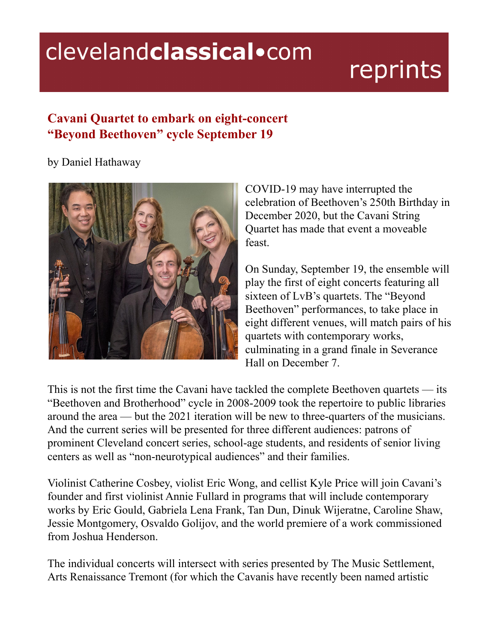## clevelandclassical.com

# reprints

### **Cavani Quartet to embark on eight-concert "Beyond Beethoven" cycle September 19**

by Daniel Hathaway



COVID-19 may have interrupted the celebration of Beethoven's 250th Birthday in December 2020, but the Cavani String Quartet has made that event a moveable feast.

On Sunday, September 19, the ensemble will play the first of eight concerts featuring all sixteen of LvB's quartets. The "Beyond Beethoven" performances, to take place in eight different venues, will match pairs of his quartets with contemporary works, culminating in a grand finale in Severance Hall on December 7.

This is not the first time the Cavani have tackled the complete Beethoven quartets — its "Beethoven and Brotherhood" cycle in 2008-2009 took the repertoire to public libraries around the area — but the 2021 iteration will be new to three-quarters of the musicians. And the current series will be presented for three different audiences: patrons of prominent Cleveland concert series, school-age students, and residents of senior living centers as well as "non-neurotypical audiences" and their families.

Violinist Catherine Cosbey, violist Eric Wong, and cellist Kyle Price will join Cavani's founder and first violinist Annie Fullard in programs that will include contemporary works by Eric Gould, Gabriela Lena Frank, Tan Dun, Dinuk Wijeratne, Caroline Shaw, Jessie Montgomery, Osvaldo Golijov, and the world premiere of a work commissioned from Joshua Henderson.

The individual concerts will intersect with series presented by The Music Settlement, Arts Renaissance Tremont (for which the Cavanis have recently been named artistic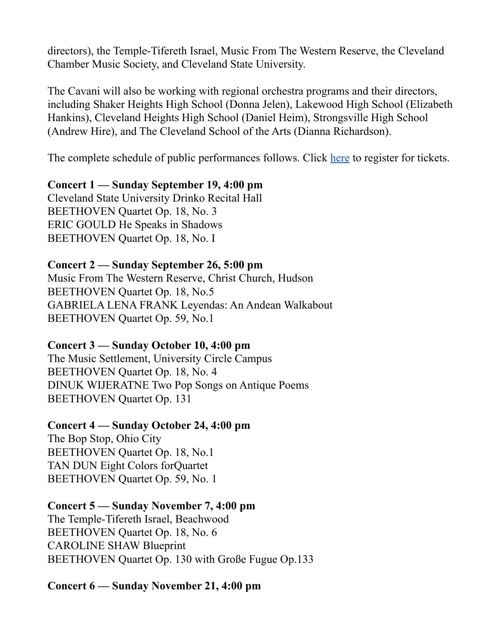directors), the Temple-Tifereth Israel, Music From The Western Reserve, the Cleveland Chamber Music Society, and Cleveland State University.

The Cavani will also be working with regional orchestra programs and their directors, including Shaker Heights High School (Donna Jelen), Lakewood High School (Elizabeth Hankins), Cleveland Heights High School (Daniel Heim), Strongsville High School (Andrew Hire), and The Cleveland School of the Arts (Dianna Richardson).

The complete schedule of public performances follows. Click [here](https://cavanistringquartet.com/celebrate-beethoven-2021/) to register for tickets.

#### **Concert 1 — Sunday September 19, 4:00 pm**

Cleveland State University Drinko Recital Hall BEETHOVEN Quartet Op. 18, No. 3 ERIC GOULD He Speaks in Shadows BEETHOVEN Quartet Op. 18, No. I

#### **Concert 2 — Sunday September 26, 5:00 pm**

Music From The Western Reserve, Christ Church, Hudson BEETHOVEN Quartet Op. 18, No.5 GABRIELA LENA FRANK Leyendas: An Andean Walkabout BEETHOVEN Quartet Op. 59, No.1

#### **Concert 3 — Sunday October 10, 4:00 pm**

The Music Settlement, University Circle Campus BEETHOVEN Quartet Op. 18, No. 4 DINUK WIJERATNE Two Pop Songs on Antique Poems BEETHOVEN Quartet Op. 131

#### **Concert 4 — Sunday October 24, 4:00 pm**

The Bop Stop, Ohio City BEETHOVEN Quartet Op. 18, No.1 TAN DUN Eight Colors forQuartet BEETHOVEN Quartet Op. 59, No. 1

#### **Concert 5 — Sunday November 7, 4:00 pm**

The Temple-Tifereth Israel, Beachwood BEETHOVEN Quartet Op. 18, No. 6 CAROLINE SHAW Blueprint BEETHOVEN Quartet Op. 130 with Große Fugue Op.133

**Concert 6 — Sunday November 21, 4:00 pm**